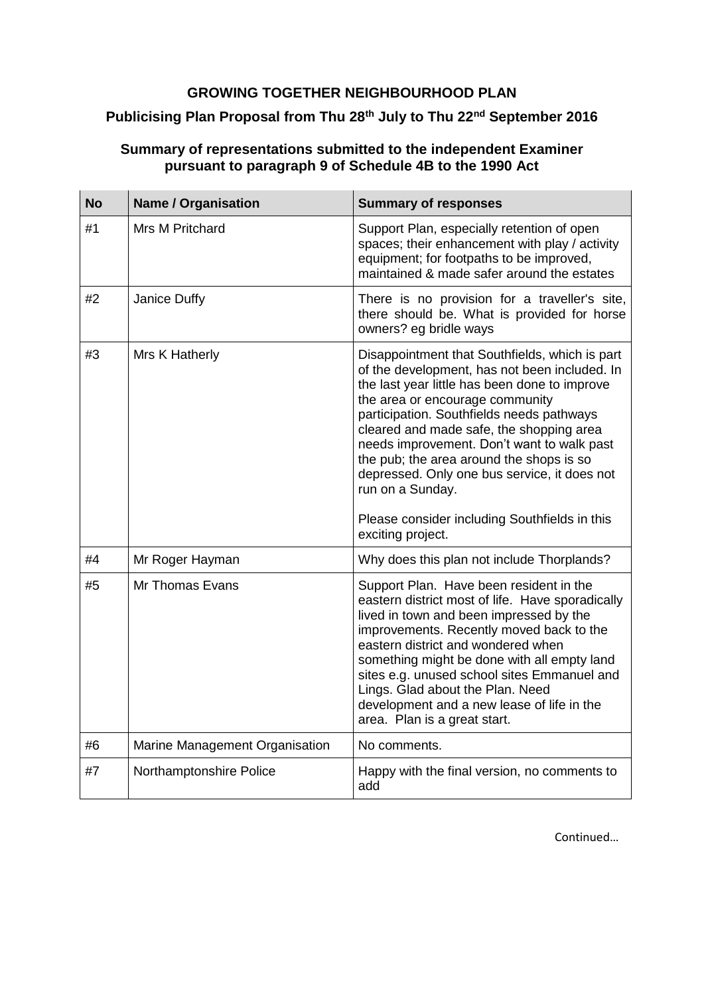## **GROWING TOGETHER NEIGHBOURHOOD PLAN**

## **Publicising Plan Proposal from Thu 28th July to Thu 22nd September 2016**

## **Summary of representations submitted to the independent Examiner pursuant to paragraph 9 of Schedule 4B to the 1990 Act**

| <b>No</b> | <b>Name / Organisation</b>     | <b>Summary of responses</b>                                                                                                                                                                                                                                                                                                                                                                                                                                                                                      |
|-----------|--------------------------------|------------------------------------------------------------------------------------------------------------------------------------------------------------------------------------------------------------------------------------------------------------------------------------------------------------------------------------------------------------------------------------------------------------------------------------------------------------------------------------------------------------------|
| #1        | <b>Mrs M Pritchard</b>         | Support Plan, especially retention of open<br>spaces; their enhancement with play / activity<br>equipment; for footpaths to be improved,<br>maintained & made safer around the estates                                                                                                                                                                                                                                                                                                                           |
| #2        | Janice Duffy                   | There is no provision for a traveller's site,<br>there should be. What is provided for horse<br>owners? eg bridle ways                                                                                                                                                                                                                                                                                                                                                                                           |
| #3        | Mrs K Hatherly                 | Disappointment that Southfields, which is part<br>of the development, has not been included. In<br>the last year little has been done to improve<br>the area or encourage community<br>participation. Southfields needs pathways<br>cleared and made safe, the shopping area<br>needs improvement. Don't want to walk past<br>the pub; the area around the shops is so<br>depressed. Only one bus service, it does not<br>run on a Sunday.<br>Please consider including Southfields in this<br>exciting project. |
| #4        | Mr Roger Hayman                | Why does this plan not include Thorplands?                                                                                                                                                                                                                                                                                                                                                                                                                                                                       |
| #5        | Mr Thomas Evans                | Support Plan. Have been resident in the<br>eastern district most of life. Have sporadically<br>lived in town and been impressed by the<br>improvements. Recently moved back to the<br>eastern district and wondered when<br>something might be done with all empty land<br>sites e.g. unused school sites Emmanuel and<br>Lings. Glad about the Plan. Need<br>development and a new lease of life in the<br>area. Plan is a great start.                                                                         |
| #6        | Marine Management Organisation | No comments.                                                                                                                                                                                                                                                                                                                                                                                                                                                                                                     |
| #7        | Northamptonshire Police        | Happy with the final version, no comments to<br>add                                                                                                                                                                                                                                                                                                                                                                                                                                                              |

Continued…